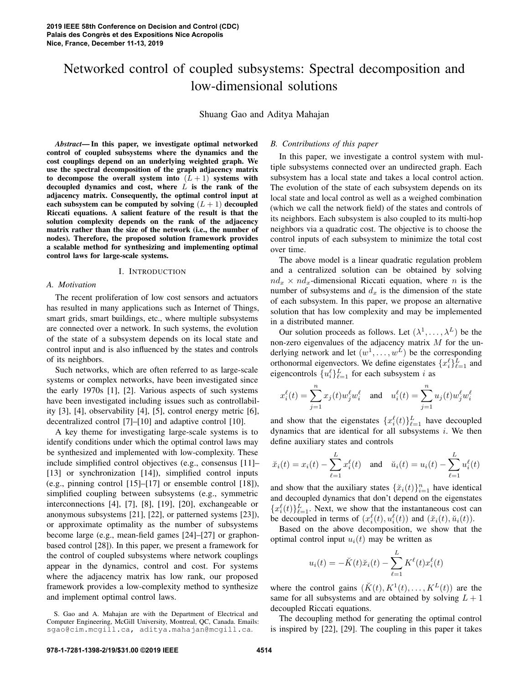# Networked control of coupled subsystems: Spectral decomposition and low-dimensional solutions

Shuang Gao and Aditya Mahajan

*Abstract*— In this paper, we investigate optimal networked control of coupled subsystems where the dynamics and the cost couplings depend on an underlying weighted graph. We use the spectral decomposition of the graph adjacency matrix to decompose the overall system into  $(L + 1)$  systems with decoupled dynamics and cost, where  $L$  is the rank of the adjacency matrix. Consequently, the optimal control input at each subsystem can be computed by solving  $(L + 1)$  decoupled Riccati equations. A salient feature of the result is that the solution complexity depends on the rank of the adjacency matrix rather than the size of the network (i.e., the number of nodes). Therefore, the proposed solution framework provides a scalable method for synthesizing and implementing optimal control laws for large-scale systems.

#### I. INTRODUCTION

#### *A. Motivation*

The recent proliferation of low cost sensors and actuators has resulted in many applications such as Internet of Things, smart grids, smart buildings, etc., where multiple subsystems are connected over a network. In such systems, the evolution of the state of a subsystem depends on its local state and control input and is also influenced by the states and controls of its neighbors.

Such networks, which are often referred to as large-scale systems or complex networks, have been investigated since the early 1970s [1], [2]. Various aspects of such systems have been investigated including issues such as controllability [3], [4], observability [4], [5], control energy metric [6], decentralized control [7]–[10] and adaptive control [10].

A key theme for investigating large-scale systems is to identify conditions under which the optimal control laws may be synthesized and implemented with low-complexity. These include simplified control objectives (e.g., consensus [11]– [13] or synchronization [14]), simplified control inputs (e.g., pinning control [15]–[17] or ensemble control [18]), simplified coupling between subsystems (e.g., symmetric interconnections [4], [7], [8], [19], [20], exchangeable or anonymous subsystems [21], [22], or patterned systems [23]), or approximate optimality as the number of subsystems become large (e.g., mean-field games [24]–[27] or graphonbased control [28]). In this paper, we present a framework for the control of coupled subsystems where network couplings appear in the dynamics, control and cost. For systems where the adjacency matrix has low rank, our proposed framework provides a low-complexity method to synthesize and implement optimal control laws.

# *B. Contributions of this paper*

In this paper, we investigate a control system with multiple subsystems connected over an undirected graph. Each subsystem has a local state and takes a local control action. The evolution of the state of each subsystem depends on its local state and local control as well as a weighed combination (which we call the network field) of the states and controls of its neighbors. Each subsystem is also coupled to its multi-hop neighbors via a quadratic cost. The objective is to choose the control inputs of each subsystem to minimize the total cost over time.

The above model is a linear quadratic regulation problem and a centralized solution can be obtained by solving  $nd_x \times nd_x$ -dimensional Riccati equation, where *n* is the number of subsystems and  $d_x$  is the dimension of the state of each subsystem. In this paper, we propose an alternative solution that has low complexity and may be implemented in a distributed manner.

Our solution proceeds as follows. Let  $(\lambda^1, \dots, \lambda^L)$  be the non-zero eigenvalues of the adjacency matrix  $M$  for the underlying network and let  $(w^1, \ldots, w^L)$  be the corresponding orthonormal eigenvectors. We define eigenstates  $\{x_i^{\ell}\}_{\ell=1}^L$  and eigencontrols  $\{u_i^{\ell}\}_{\ell=1}^{L}$  for each subsystem *i* as

$$
x_i^\ell(t)=\sum_{j=1}^nx_j(t)w_j^\ell w_i^\ell\quad\text{and}\quad u_i^\ell(t)=\sum_{j=1}^nu_j(t)w_j^\ell w_i^\ell
$$

and show that the eigenstates  $\{x_i^{\ell}(t)\}_{\ell=1}^L$  have decoupled dynamics that are identical for all subsystems  $i$ . We then define auxiliary states and controls

$$
\breve{x}_i(t) = x_i(t) - \sum_{\ell=1}^L x_i^{\ell}(t)
$$
 and  $\breve{u}_i(t) = u_i(t) - \sum_{\ell=1}^L u_i^{\ell}(t)$ 

and show that the auxiliary states  $\{\tilde{x}_i(t)\}_{i=1}^n$  have identical and decoupled dynamics that don't depend on the eigenstates  ${x_i^{\ell}(t)}_{\ell=1}^{L}$ . Next, we show that the instantaneous cost can be decoupled in terms of  $(x_i^{\ell}(t), u_i^{\ell}(t))$  and  $(\breve{x}_i(t), \breve{u}_i(t))$ .

Based on the above decomposition, we show that the optimal control input  $u_i(t)$  may be written as

$$
u_i(t) = -\breve{K}(t)\breve{x}_i(t) - \sum_{\ell=1}^L K^{\ell}(t)x_i^{\ell}(t)
$$

where the control gains  $(K(t), K^1(t), \ldots, K^L(t))$  are the same for all subsystems and are obtained by solving  $L + 1$ decoupled Riccati equations.

The decoupling method for generating the optimal control is inspired by [22], [29]. The coupling in this paper it takes

S. Gao and A. Mahajan are with the Department of Electrical and Computer Engineering, McGill University, Montreal, QC, Canada. Emails: sgao@cim.mcgill.ca, aditya.mahajan@mcgill.ca.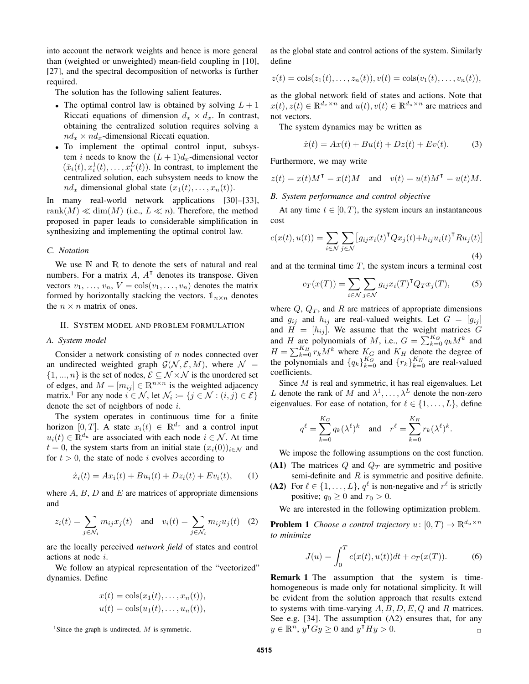into account the network weights and hence is more general than (weighted or unweighted) mean-field coupling in [10], [27], and the spectral decomposition of networks is further required.

The solution has the following salient features.

- The optimal control law is obtained by solving  $L + 1$ Riccati equations of dimension  $d_x \times d_x$ . In contrast, obtaining the centralized solution requires solving a  $nd_x \times nd_x$ -dimensional Riccati equation.
- To implement the optimal control input, subsystem *i* needs to know the  $(L + 1)d_x$ -dimensional vector  $(\breve{x}_i(t), x_i^1(t), \dots, x_i^L(t))$ . In contrast, to implement the centralized solution, each subsystem needs to know the  $nd_x$  dimensional global state  $(x_1(t), \ldots, x_n(t))$ .

In many real-world network applications [30]–[33], rank $(M) \ll \dim(M)$  (i.e.,  $L \ll n$ ). Therefore, the method proposed in paper leads to considerable simplification in synthesizing and implementing the optimal control law.

# *C. Notation*

We use  $\mathbb N$  and  $\mathbb R$  to denote the sets of natural and real numbers. For a matrix  $A$ ,  $A<sup>T</sup>$  denotes its transpose. Given vectors  $v_1, \ldots, v_n, V = \text{cols}(v_1, \ldots, v_n)$  denotes the matrix formed by horizontally stacking the vectors.  $\mathbb{1}_{n\times n}$  denotes the  $n \times n$  matrix of ones.

#### II. SYSTEM MODEL AND PROBLEM FORMULATION

#### *A. System model*

Consider a network consisting of  $n$  nodes connected over an undirected weighted graph  $G(N, \mathcal{E}, M)$ , where  $\mathcal{N} =$  $\{1, ..., n\}$  is the set of nodes,  $\mathcal{E} \subseteq \mathcal{N} \times \mathcal{N}$  is the unordered set of edges, and  $M = [m_{ij}] \in \mathbb{R}^{n \times n}$  is the weighted adjacency matrix.<sup>1</sup> For any node  $i \in \mathcal{N}$ , let  $\mathcal{N}_i := \{j \in \mathcal{N} : (i, j) \in \mathcal{E}\}\$ denote the set of neighbors of node i.

The system operates in continuous time for a finite horizon [0, T]. A state  $x_i(t) \in \mathbb{R}^{d_x}$  and a control input  $u_i(t) \in \mathbb{R}^{d_u}$  are associated with each node  $i \in \mathcal{N}$ . At time  $t = 0$ , the system starts from an initial state  $(x_i(0))_{i \in \mathcal{N}}$  and for  $t > 0$ , the state of node i evolves according to

$$
\dot{x}_i(t) = Ax_i(t) + Bu_i(t) + Dz_i(t) + Ev_i(t), \qquad (1)
$$

where  $A$ ,  $B$ ,  $D$  and  $E$  are matrices of appropriate dimensions and

$$
z_i(t) = \sum_{j \in \mathcal{N}_i} m_{ij} x_j(t) \quad \text{and} \quad v_i(t) = \sum_{j \in \mathcal{N}_i} m_{ij} u_j(t) \quad (2)
$$

are the locally perceived *network field* of states and control actions at node i.

We follow an atypical representation of the "vectorized" dynamics. Define

$$
x(t) = \cos(x_1(t), \dots, x_n(t)),
$$
  

$$
u(t) = \cos(u_1(t), \dots, u_n(t)),
$$

<sup>1</sup>Since the graph is undirected,  $M$  is symmetric.

as the global state and control actions of the system. Similarly define

$$
z(t) = \cosh(z_1(t), \dots, z_n(t)), v(t) = \cosh(v_1(t), \dots, v_n(t)),
$$

as the global network field of states and actions. Note that  $x(t), z(t) \in \mathbb{R}^{d_x \times n}$  and  $u(t), v(t) \in \mathbb{R}^{d_u \times n}$  are matrices and not vectors.

The system dynamics may be written as

$$
\dot{x}(t) = Ax(t) + Bu(t) + Dz(t) + Ev(t).
$$
 (3)

Furthermore, we may write

$$
z(t) = x(t)M^{\mathsf{T}} = x(t)M
$$
 and  $v(t) = u(t)M^{\mathsf{T}} = u(t)M$ .

#### *B. System performance and control objective*

At any time  $t \in [0, T)$ , the system incurs an instantaneous cost

$$
c(x(t), u(t)) = \sum_{i \in \mathcal{N}} \sum_{j \in \mathcal{N}} \left[ g_{ij} x_i(t)^\mathsf{T} Q x_j(t) + h_{ij} u_i(t)^\mathsf{T} R u_j(t) \right]
$$
\n(4)

and at the terminal time  $T$ , the system incurs a terminal cost

$$
c_T(x(T)) = \sum_{i \in \mathcal{N}} \sum_{j \in \mathcal{N}} g_{ij} x_i(T)^\mathsf{T} Q_T x_j(T), \tag{5}
$$

where  $Q$ ,  $Q_T$ , and R are matrices of appropriate dimensions and  $g_{ij}$  and  $h_{ij}$  are real-valued weights. Let  $G = [g_{ij}]$ and  $H = [h_{ij}]$ . We assume that the weight matrices G and H are polynomials of M, i.e.,  $G = \sum_{k=0}^{K_G} q_k M^k$  and  $H = \sum_{k=0}^{K_H} r_k M^k$  where  $K_G$  and  $K_H$  denote the degree of the polynomials and  $\{q_k\}_{k=0}^{K_G}$  and  $\{r_k\}_{k=0}^{K_H}$  are real-valued coefficients.

Since  $M$  is real and symmetric, it has real eigenvalues. Let L denote the rank of M and  $\lambda^1, \dots, \lambda^L$  denote the non-zero eigenvalues. For ease of notation, for  $\ell \in \{1, \ldots, L\}$ , define

$$
q^{\ell} = \sum_{k=0}^{K_G} q_k(\lambda^{\ell})^k \quad \text{and} \quad r^{\ell} = \sum_{k=0}^{K_H} r_k(\lambda^{\ell})^k.
$$

We impose the following assumptions on the cost function.

- (A1) The matrices  $Q$  and  $Q_T$  are symmetric and positive semi-definite and  $R$  is symmetric and positive definite.
- (A2) For  $\ell \in \{1, \ldots, L\}$ ,  $q^{\ell}$  is non-negative and  $r^{\ell}$  is strictly positive;  $q_0 \geq 0$  and  $r_0 > 0$ .

We are interested in the following optimization problem.

**Problem 1** *Choose a control trajectory*  $u: [0, T) \to \mathbb{R}^{d_u \times n}$ *to minimize*

$$
J(u) = \int_0^T c(x(t), u(t))dt + c_T(x(T)).
$$
 (6)

Remark 1 The assumption that the system is timehomogeneous is made only for notational simplicity. It will be evident from the solution approach that results extend to systems with time-varying  $A, B, D, E, Q$  and R matrices. See e.g. [34]. The assumption (A2) ensures that, for any  $y \in \mathbb{R}^n$ ,  $y^T Gy \ge 0$  and  $y^T Hy > 0$ .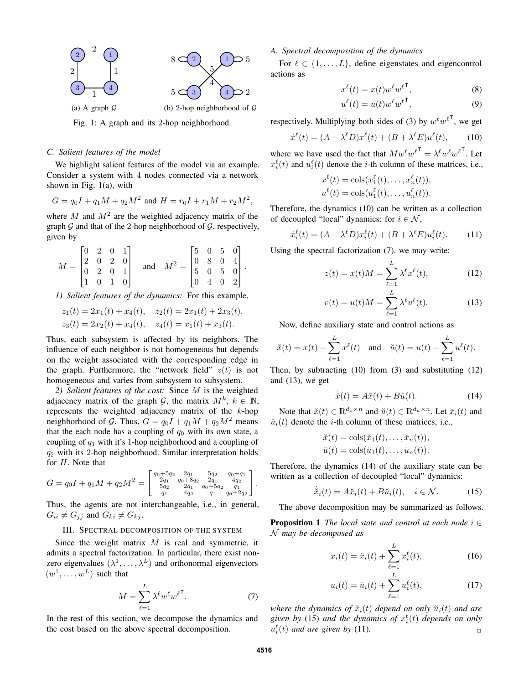

Fig. 1: A graph and its 2-hop neighborhood.

# *C. Salient features of the model*

We highlight salient features of the model via an example. Consider a system with 4 nodes connected via a network shown in Fig. 1(a), with

$$
G = q_0 I + q_1 M + q_2 M^2
$$
 and  $H = r_0 I + r_1 M + r_2 M^2$ ,

where M and  $M^2$  are the weighted adjacency matrix of the graph  $G$  and that of the 2-hop neighborhood of  $G$ , respectively, given by

$$
M = \begin{bmatrix} 0 & 2 & 0 & 1 \\ 2 & 0 & 2 & 0 \\ 0 & 2 & 0 & 1 \\ 1 & 0 & 1 & 0 \end{bmatrix} \quad \text{and} \quad M^2 = \begin{bmatrix} 5 & 0 & 5 & 0 \\ 0 & 8 & 0 & 4 \\ 5 & 0 & 5 & 0 \\ 0 & 4 & 0 & 2 \end{bmatrix}.
$$

*1) Salient features of the dynamics:* For this example,

$$
z_1(t) = 2x_1(t) + x_4(t), \quad z_2(t) = 2x_1(t) + 2x_3(t),
$$
  

$$
z_3(t) = 2x_2(t) + x_4(t), \quad z_4(t) = x_1(t) + x_3(t).
$$

Thus, each subsystem is affected by its neighbors. The influence of each neighbor is not homogeneous but depends on the weight associated with the corresponding edge in the graph. Furthermore, the "network field"  $z(t)$  is not homogeneous and varies from subsystem to subsystem.

*2) Salient features of the cost:* Since M is the weighted adjacency matrix of the graph  $G$ , the matrix  $M^k$ ,  $k \in \mathbb{N}$ , represents the weighted adjacency matrix of the k-hop neighborhood of G. Thus,  $G = q_0I + q_1M + q_2M^2$  means that the each node has a coupling of  $q_0$  with its own state, a coupling of  $q_1$  with it's 1-hop neighborhood and a coupling of  $q_2$  with its 2-hop neighborhood. Similar interpretation holds for H. Note that

$$
G = q_0 I + q_1 M + q_2 M^2 = \begin{bmatrix} q_0 + 5q_2 & 2q_1 & 5q_2 & q_0 + q_1 \\ 2q_1 & q_0 + 8q_2 & 2q_1 & 4q_2 \\ 5q_2 & 2q_1 & q_0 + 5q_2 & q_1 \\ q_1 & 4q_2 & q_1 & q_0 + 2q_2 \end{bmatrix}.
$$

Thus, the agents are not interchangeable, i.e., in general,  $G_{ii} \neq G_{jj}$  and  $G_{ki} \neq G_{kj}$ .

#### III. SPECTRAL DECOMPOSITION OF THE SYSTEM

Since the weight matrix  $M$  is real and symmetric, it admits a spectral factorization. In particular, there exist nonzero eigenvalues  $(\lambda^1, \dots, \lambda^L)$  and orthonormal eigenvectors  $(w^1, \ldots, w^L)$  such that

$$
M = \sum_{\ell=1}^{L} \lambda^{\ell} w^{\ell} w^{\ell}^{\mathsf{T}}.
$$
 (7)

In the rest of this section, we decompose the dynamics and the cost based on the above spectral decomposition.

# *A. Spectral decomposition of the dynamics*

For  $\ell \in \{1, \ldots, L\}$ , define eigenstates and eigencontrol actions as

$$
x^{\ell}(t) = x(t)w^{\ell}w^{\ell \mathsf{T}}, \tag{8}
$$

$$
u^{\ell}(t) = u(t)w^{\ell}w^{\ell \mathsf{T}}, \tag{9}
$$

respectively. Multiplying both sides of (3) by  $w^{\ell}w^{\ell}$ , we get

$$
\dot{x}^{\ell}(t) = (A + \lambda^{\ell} D)x^{\ell}(t) + (B + \lambda^{\ell} E)u^{\ell}(t), \qquad (10)
$$

where we have used the fact that  $M w^{\ell} w^{\ell}^{\mathsf{T}} = \lambda^{\ell} w^{\ell} w^{\ell}^{\mathsf{T}}$ . Let  $x_i^{\ell}(t)$  and  $u_i^{\ell}(t)$  denote the *i*-th column of these matrices, i.e.,

$$
x^{\ell}(t) = \cosh(x_1^{\ell}(t), \dots, x_n^{\ell}(t)),
$$
  

$$
u^{\ell}(t) = \cosh(u_1^{\ell}(t), \dots, u_n^{\ell}(t)).
$$

Therefore, the dynamics (10) can be written as a collection of decoupled "local" dynamics: for  $i \in \mathcal{N}$ ,

$$
\dot{x}_i^{\ell}(t) = (A + \lambda^{\ell} D) x_i^{\ell}(t) + (B + \lambda^{\ell} E) u_i^{\ell}(t). \tag{11}
$$

Using the spectral factorization (7), we may write:

$$
z(t) = x(t)M = \sum_{\ell=1}^{L} \lambda^{\ell} x^{\ell}(t),
$$
 (12)

$$
v(t) = u(t)M = \sum_{\ell=1}^{L} \lambda^{\ell} u^{\ell}(t).
$$
 (13)

Now, define auxiliary state and control actions as

$$
\breve{x}(t) = x(t) - \sum_{\ell=1}^{L} x^{\ell}(t)
$$
 and  $\breve{u}(t) = u(t) - \sum_{\ell=1}^{L} u^{\ell}(t)$ .

Then, by subtracting (10) from (3) and substituting (12) and (13), we get

$$
\dot{\tilde{x}}(t) = A\tilde{x}(t) + B\tilde{u}(t). \tag{14}
$$

Note that  $\breve{x}(t) \in \mathbb{R}^{d_x \times n}$  and  $\breve{u}(t) \in \mathbb{R}^{d_u \times n}$ . Let  $\breve{x}_i(t)$  and  $\breve{u}_i(t)$  denote the *i*-th column of these matrices, i.e.,

$$
\check{x}(t) = \cosh(\check{x}_1(t), \dots, \check{x}_n(t)),
$$
  
\n
$$
\check{u}(t) = \cosh(\check{u}_1(t), \dots, \check{u}_n(t)).
$$

Therefore, the dynamics (14) of the auxiliary state can be written as a collection of decoupled "local" dynamics:

$$
\dot{\tilde{x}}_i(t) = A\tilde{x}_i(t) + B\tilde{u}_i(t), \quad i \in \mathcal{N}.
$$
 (15)

The above decomposition may be summarized as follows.

**Proposition 1** *The local state and control at each node*  $i \in$ N *may be decomposed as*

$$
x_i(t) = \check{x}_i(t) + \sum_{\ell=1}^{L} x_i^{\ell}(t),
$$
 (16)

$$
u_i(t) = \breve{u}_i(t) + \sum_{\ell=1}^{L} u_i^{\ell}(t), \qquad (17)
$$

*where the dynamics of*  $\tilde{x}_i(t)$  *depend on only*  $\tilde{u}_i(t)$  *and are* given by (15) and the dynamics of  $x_i^{\ell}(t)$  depends on only  $u_i^{\ell}(t)$  *and are given by* (11).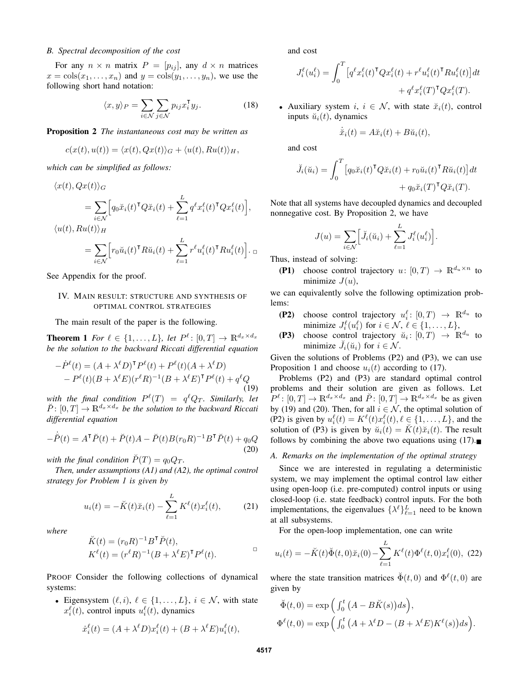## *B. Spectral decomposition of the cost*

For any  $n \times n$  matrix  $P = [p_{ij}]$ , any  $d \times n$  matrices  $x = \cosh(x_1, \ldots, x_n)$  and  $y = \cosh(y_1, \ldots, y_n)$ , we use the following short hand notation:

$$
\langle x, y \rangle_P = \sum_{i \in \mathcal{N}} \sum_{j \in \mathcal{N}} p_{ij} x_i^{\mathsf{T}} y_j.
$$
 (18)

Proposition 2 *The instantaneous cost may be written as*

$$
c(x(t), u(t)) = \langle x(t), Qx(t) \rangle_G + \langle u(t), Ru(t) \rangle_H,
$$

*which can be simplified as follows:*

$$
\langle x(t), Qx(t) \rangle_G
$$
  
= 
$$
\sum_{i \in \mathcal{N}} \Big[ q_0 \check{x}_i(t)^\mathsf{T} Q \check{x}_i(t) + \sum_{\ell=1}^L q^\ell x_i^\ell(t)^\mathsf{T} Q x_i^\ell(t) \Big],
$$
  

$$
\langle u(t), Ru(t) \rangle_H
$$
  
= 
$$
\sum_{i \in \mathcal{N}} \Big[ r_0 \check{u}_i(t)^\mathsf{T} R \check{u}_i(t) + \sum_{\ell=1}^L r^\ell u_i^\ell(t)^\mathsf{T} R u_i^\ell(t) \Big].
$$

See Appendix for the proof.

#### IV. MAIN RESULT: STRUCTURE AND SYNTHESIS OF OPTIMAL CONTROL STRATEGIES

The main result of the paper is the following.

**Theorem 1** For  $\ell \in \{1, ..., L\}$ , let  $P^{\ell} \colon [0, T] \to \mathbb{R}^{d_x \times d_x}$ *be the solution to the backward Riccati differential equation*

$$
-\dot{P}^{\ell}(t) = (A + \lambda^{\ell} D)^{\mathsf{T}} P^{\ell}(t) + P^{\ell}(t)(A + \lambda^{\ell} D)
$$
  
- 
$$
P^{\ell}(t)(B + \lambda^{\ell} E)(r^{\ell} R)^{-1}(B + \lambda^{\ell} E)^{\mathsf{T}} P^{\ell}(t) + q^{\ell} Q
$$
 (19)

with the final condition  $P^{\ell}(T)$  =  $q^{\ell}Q_T$ *. Similarly, let*  $\check{P}: [0, T] \to \mathbb{R}^{d_x \times d_x}$  *be the solution to the backward Riccati differential equation*

$$
-\dot{\tilde{P}}(t) = A^{\mathsf{T}} \tilde{P}(t) + \tilde{P}(t)A - \tilde{P}(t)B(r_0 R)^{-1}B^{\mathsf{T}} \tilde{P}(t) + q_0 Q
$$
\n(20)

*with the final condition*  $\tilde{P}(T) = q_0 Q_T$ .

*Then, under assumptions (A1) and (A2), the optimal control strategy for Problem 1 is given by*

$$
u_i(t) = -\breve{K}(t)\breve{x}_i(t) - \sum_{\ell=1}^L K^{\ell}(t)x_i^{\ell}(t),
$$
 (21)

*where*

$$
\tilde{K}(t) = (r_0 R)^{-1} B^{\mathsf{T}} \check{P}(t),
$$
\n
$$
K^{\ell}(t) = (r^{\ell} R)^{-1} (B + \lambda^{\ell} E)^{\mathsf{T}} P^{\ell}(t).
$$

PROOF Consider the following collections of dynamical systems:

• Eigensystem  $(\ell, i), \ell \in \{1, \ldots, L\}, i \in \mathcal{N}$ , with state  $x_i^{\ell}(t)$ , control inputs  $u_i^{\ell}(t)$ , dynamics

$$
\dot{x}_i^{\ell}(t) = (A + \lambda^{\ell} D) x_i^{\ell}(t) + (B + \lambda^{\ell} E) u_i^{\ell}(t),
$$

and cost

$$
J_i^{\ell}(u_i^{\ell}) = \int_0^T \left[ q^{\ell} x_i^{\ell}(t)^{\mathsf{T}} Q x_i^{\ell}(t) + r^{\ell} u_i^{\ell}(t)^{\mathsf{T}} R u_i^{\ell}(t) \right] dt
$$

$$
+ q^{\ell} x_i^{\ell}(T)^{\mathsf{T}} Q x_i^{\ell}(T).
$$

• Auxiliary system i,  $i \in \mathcal{N}$ , with state  $\ddot{x}_i(t)$ , control inputs  $\breve{u}_i(t)$ , dynamics

$$
\dot{\tilde{x}}_i(t) = A\tilde{x}_i(t) + B\tilde{u}_i(t),
$$

and cost

$$
\breve{J}_i(\breve{u}_i) = \int_0^T \left[ q_0 \breve{x}_i(t)^\mathsf{T} Q \breve{x}_i(t) + r_0 \breve{u}_i(t)^\mathsf{T} R \breve{u}_i(t) \right] dt + q_0 \breve{x}_i(T)^\mathsf{T} Q \breve{x}_i(T).
$$

Note that all systems have decoupled dynamics and decoupled nonnegative cost. By Proposition 2, we have

$$
J(u) = \sum_{i \in \mathcal{N}} \left[ \breve{J}_i(\breve{u}_i) + \sum_{\ell=1}^L J_i^{\ell}(u_i^{\ell}) \right].
$$

Thus, instead of solving:

(P1) choose control trajectory  $u: [0, T) \to \mathbb{R}^{d_u \times n}$  to minimize  $J(u)$ ,

we can equivalently solve the following optimization problems:

- (P2) choose control trajectory  $u_i^{\ell}$ :  $[0, T) \rightarrow \mathbb{R}^{d_u}$  to minimize  $J_i^{\ell}(u_i^{\ell})$  for  $i \in \mathcal{N}, \ell \in \{1, \ldots, L\},\$
- (P3) choose control trajectory  $\breve{u}_i: [0,T) \rightarrow \mathbb{R}^{d_u}$  to minimize  $\check{J}_i(\check{u}_i)$  for  $i \in \mathcal{N}$ .

Given the solutions of Problems (P2) and (P3), we can use Proposition 1 and choose  $u_i(t)$  according to (17).

Problems (P2) and (P3) are standard optimal control problems and their solution are given as follows. Let  $P^{\ell}: [0,T] \to \mathbb{R}^{d_x \times d_x}$  and  $\check{P}: [0,T] \to \mathbb{R}^{d_x \times d_x}$  be as given by (19) and (20). Then, for all  $i \in \mathcal{N}$ , the optimal solution of (P2) is given by  $u_i^{\ell}(t) = K^{\ell}(t)x_i^{\ell}(t), \ell \in \{1, ..., L\}$ , and the solution of (P3) is given by  $\breve{u}_i(t) = \breve{K}(t)\breve{x}_i(t)$ . The result follows by combining the above two equations using  $(17)$ .

# *A. Remarks on the implementation of the optimal strategy*

Since we are interested in regulating a deterministic system, we may implement the optimal control law either using open-loop (i.e. pre-computed) control inputs or using closed-loop (i.e. state feedback) control inputs. For the both implementations, the eigenvalues  $\{\lambda^{\ell}\}_{\ell=1}^{L}$  need to be known at all subsystems.

For the open-loop implementation, one can write

$$
u_i(t) = -\breve{K}(t)\breve{\Phi}(t,0)\breve{x}_i(0) - \sum_{\ell=1}^L K^{\ell}(t)\Phi^{\ell}(t,0)x_i^{\ell}(0), \tag{22}
$$

where the state transition matrices  $\breve{\Phi}(t,0)$  and  $\Phi^{\ell}(t,0)$  are given by

$$
\breve{\Phi}(t,0) = \exp\left(\int_0^t (A - B\breve{K}(s))ds\right),
$$
  

$$
\Phi^{\ell}(t,0) = \exp\left(\int_0^t (A + \lambda^{\ell}D - (B + \lambda^{\ell}E)K^{\ell}(s))ds\right).
$$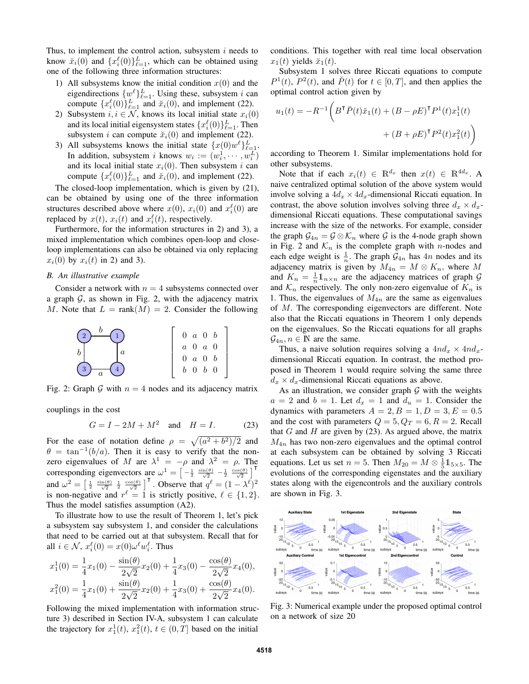Thus, to implement the control action, subsystem  $i$  needs to know  $\breve{x}_i(0)$  and  $\{x_i^{\ell}(0)\}_{\ell=1}^L$ , which can be obtained using one of the following three information structures:

- 1) All subsystems know the initial condition  $x(0)$  and the eigendirections  $\{w^{\ell}\}_{\ell=1}^{L}$ . Using these, subsystem i can compute  $\{x_i^{\ell}(0)\}_{\ell=1}^L$  and  $\breve{x}_i(0)$ , and implement (22).
- 2) Subsystem  $i, i \in \mathcal{N}$ , knows its local initial state  $x_i(0)$ and its local initial eigensystem states  $\{x_i^{\ell}(0)\}_{\ell=1}^L$ . Then subsystem *i* can compute  $\ddot{x}_i(0)$  and implement (22).
- 3) All subsystems knows the initial state  $\{x(0)w^{\ell}\}_{\ell=1}^{L}$ . In addition, subsystem *i* knows  $w_i := (w_i^1, \dots, w_i^L)$ and its local initial state  $x_i(0)$ . Then subsystem i can compute  $\{x_i^{\ell}(0)\}_{\ell=1}^L$  and  $\breve{x}_i(0)$ , and implement (22).

The closed-loop implementation, which is given by (21), can be obtained by using one of the three information structures described above where  $x(0)$ ,  $x_i(0)$  and  $x_i^{\ell}(0)$  are replaced by  $x(t)$ ,  $x_i(t)$  and  $x_i^{\ell}(t)$ , respectively.

Furthermore, for the information structures in 2) and 3), a mixed implementation which combines open-loop and closeloop implementations can also be obtained via only replacing  $x_i(0)$  by  $x_i(t)$  in 2) and 3).

# *B. An illustrative example*

Consider a network with  $n = 4$  subsystems connected over a graph  $G$ , as shown in Fig. 2, with the adjacency matrix M. Note that  $L = \text{rank}(M) = 2$ . Consider the following

$$
\begin{array}{c|c}\n\text{2} & b & \text{1} \\
b & a & b \\
\hline\n\end{array}
$$
\n
$$
\begin{bmatrix}\n0 & a & 0 & b \\
a & 0 & a & 0 \\
0 & a & 0 & b \\
b & 0 & b & 0\n\end{bmatrix}
$$

Fig. 2: Graph G with  $n = 4$  nodes and its adjacency matrix

couplings in the cost

$$
G = I - 2M + M^2 \quad \text{and} \quad H = I. \tag{23}
$$

For the ease of notation define  $\rho = \sqrt{(a^2 + b^2)/2}$  and  $\theta = \tan^{-1}(b/a)$ . Then it is easy to verify that the nonzero eigenvalues of M are  $\lambda^1 = -\rho$  and  $\lambda^2 = \rho$ . The corresponding eigenvectors are  $\omega^1 = \left[ -\frac{1}{2} \frac{\sin(\theta)}{\sqrt{2}} - \frac{1}{2} \frac{\cos(\theta)}{\sqrt{2}} \right]^\mathsf{T}$ and  $\omega^2 = \left[\frac{1}{2} \frac{\sin(\theta)}{\sqrt{2}} \frac{1}{2} \frac{\cos(\theta)}{\sqrt{2}}\right]^\mathsf{T}$ . Observe that  $q^{\ell} = (1 - \lambda^{\ell})^2$ is non-negative and  $r^{\ell} = 1$  is strictly positive,  $\ell \in \{1, 2\}.$ Thus the model satisfies assumption (A2).

To illustrate how to use the result of Theorem 1, let's pick a subsystem say subsystem 1, and consider the calculations that need to be carried out at that subsystem. Recall that for all  $i \in \mathcal{N}$ ,  $x_i^{\ell}(0) = x(0)\omega^{\ell}w_i^{\ell}$ . Thus

$$
x_1^1(0) = \frac{1}{4}x_1(0) - \frac{\sin(\theta)}{2\sqrt{2}}x_2(0) + \frac{1}{4}x_3(0) - \frac{\cos(\theta)}{2\sqrt{2}}x_4(0),
$$
  

$$
x_1^2(0) = \frac{1}{4}x_1(0) + \frac{\sin(\theta)}{2\sqrt{2}}x_2(0) + \frac{1}{4}x_3(0) + \frac{\cos(\theta)}{2\sqrt{2}}x_4(0).
$$

Following the mixed implementation with information structure 3) described in Section IV-A, subsystem 1 can calculate the trajectory for  $x_1^1(t)$ ,  $x_1^2(t)$ ,  $t \in (0, T]$  based on the initial

conditions. This together with real time local observation  $x_1(t)$  yields  $\breve{x}_1(t)$ .

Subsystem 1 solves three Riccati equations to compute  $P^1(t)$ ,  $P^2(t)$ , and  $\breve{P}(t)$  for  $t \in [0, T]$ , and then applies the optimal control action given by

$$
u_1(t) = -R^{-1} \left( B^{\mathsf{T}} \check{P}(t) \check{x}_1(t) + (B - \rho E)^{\mathsf{T}} P^1(t) x_1^1(t) + (B + \rho E)^{\mathsf{T}} P^2(t) x_1^2(t) \right)
$$

according to Theorem 1. Similar implementations hold for other subsystems.

Note that if each  $x_i(t) \in \mathbb{R}^{d_x}$  then  $x(t) \in \mathbb{R}^{4d_x}$ . A naive centralized optimal solution of the above system would involve solving a  $4d_x \times 4d_x$ -dimensional Riccati equation. In contrast, the above solution involves solving three  $d_x \times d_x$ dimensional Riccati equations. These computational savings increase with the size of the networks. For example, consider the graph  $\mathcal{G}_{4n} = \mathcal{G} \otimes \mathcal{K}_n$  where  $\mathcal{G}$  is the 4-node graph shown in Fig. 2 and  $\mathcal{K}_n$  is the complete graph with *n*-nodes and each edge weight is  $\frac{1}{n}$ . The graph  $\mathcal{G}_{4n}$  has  $4n$  nodes and its adjacency matrix is given by  $M_{4n} = M \otimes K_n$ , where M and  $K_n = \frac{1}{n} \mathbb{1}_{n \times n}$  are the adjacency matrices of graph G and  $\mathcal{K}_n$  respectively. The only non-zero eigenvalue of  $K_n$  is 1. Thus, the eigenvalues of  $M_{4n}$  are the same as eigenvalues of M. The corresponding eigenvectors are different. Note also that the Riccati equations in Theorem 1 only depends on the eigenvalues. So the Riccati equations for all graphs  $\mathcal{G}_{4n}, n \in \mathbb{N}$  are the same.

Thus, a naive solution requires solving a  $4nd_x \times 4nd_x$ dimensional Riccati equation. In contrast, the method proposed in Theorem 1 would require solving the same three  $d_x \times d_x$ -dimensional Riccati equations as above.

As an illustration, we consider graph  $G$  with the weights  $a = 2$  and  $b = 1$ . Let  $d_x = 1$  and  $d_u = 1$ . Consider the dynamics with parameters  $A = 2, B = 1, D = 3, E = 0.5$ and the cost with parameters  $Q = 5, Q_T = 6, R = 2$ . Recall that  $G$  and  $H$  are given by (23). As argued above, the matrix  $M_{4n}$  has two non-zero eigenvalues and the optimal control at each subsystem can be obtained by solving 3 Riccati equations. Let us set  $n = 5$ . Then  $M_{20} = M \otimes \frac{1}{5} \mathbb{1}_{5 \times 5}$ . The evolutions of the corresponding eigenstates and the auxiliary states along with the eigencontrols and the auxiliary controls are shown in Fig. 3.



Fig. 3: Numerical example under the proposed optimal control on a network of size 20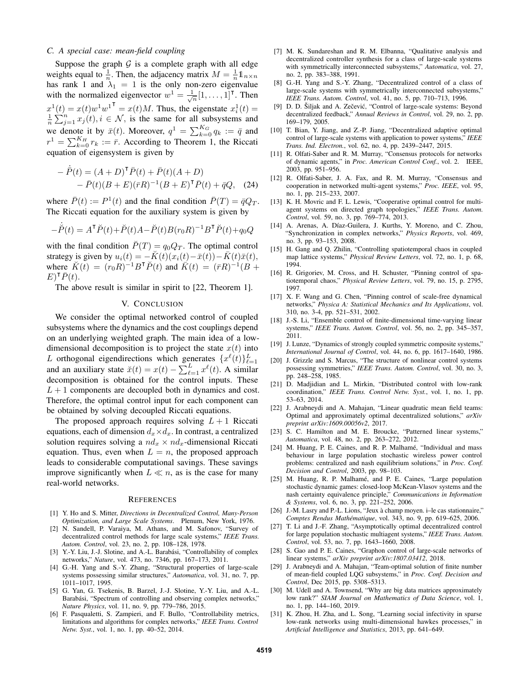# *C. A special case: mean-field coupling*

Suppose the graph  $G$  is a complete graph with all edge weights equal to  $\frac{1}{n}$ . Then, the adjacency matrix  $M = \frac{1}{n} \mathbb{1}_{n \times n}$ has rank 1 and  $\lambda_1 = 1$  is the only non-zero eigenvalue with the normalized eigenvector  $w^1 = \frac{1}{\sqrt{n}} [1, \dots, 1]^T$ . Then  $x^1(t) = x(t)w^1w^1 = x(t)M$ . Thus, the eigenstate  $x_i^1(t) =$  $\frac{1}{n}\sum_{j=1}^{n}x_j(t), i \in \mathcal{N}$ , is the same for all subsystems and we denote it by  $\bar{x}(t)$ . Moreover,  $q^1 = \sum_{k=0}^{K_G} q_k := \bar{q}$  and  $r^1 = \sum_{k=0}^{K_H} r_k := \bar{r}$ . According to Theorem 1, the Riccati equation of eigensystem is given by

$$
- \dot{\bar{P}}(t) = (A + D)^{\mathsf{T}} \bar{P}(t) + \bar{P}(t)(A + D) - \bar{P}(t)(B + E)(\bar{r}R)^{-1}(B + E)^{\mathsf{T}} \bar{P}(t) + \bar{q}Q, (24)
$$

where  $\bar{P}(t) := P^1(t)$  and the final condition  $\bar{P}(T) = \bar{q}Q_T$ . The Riccati equation for the auxiliary system is given by

$$
-\dot{\tilde{P}}(t) = A^{\mathsf{T}}\check{P}(t) + \check{P}(t)A - \check{P}(t)B(r_0R)^{-1}B^{\mathsf{T}}\check{P}(t) + q_0Q
$$

with the final condition  $\check{P}(T) = q_0 Q_T$ . The optimal control strategy is given by  $u_i(t) = -\breve{K}(t)(x_i(t)-\bar{x}(t))-\bar{K}(t)\bar{x}(t)$ , where  $K(t) = (r_0 R)^{-1} B^{\mathsf{T}} P(t)$  and  $\overline{K}(t) = (\overline{r}R)^{-1} (\overline{B} +$  $E$ <sup>T</sup> $\overline{P}(t)$ .

The above result is similar in spirit to [22, Theorem 1].

# V. CONCLUSION

We consider the optimal networked control of coupled subsystems where the dynamics and the cost couplings depend on an underlying weighted graph. The main idea of a lowdimensional decomposition is to project the state  $x(t)$  into L orthogonal eigendirections which generates  $\{x^{\ell}(t)\}_{\ell=1}^{L}$  and an auxiliary state  $\breve{x}(t) = x(t) - \sum_{\ell=1}^{L} x^{\ell}(t)$ . A similar decomposition is obtained for the control inputs. These  $L + 1$  components are decoupled both in dynamics and cost. Therefore, the optimal control input for each component can be obtained by solving decoupled Riccati equations.

The proposed approach requires solving  $L + 1$  Riccati equations, each of dimension  $d_x \times d_x$ . In contrast, a centralized solution requires solving a  $nd_x \times nd_x$ -dimensional Riccati equation. Thus, even when  $L = n$ , the proposed approach leads to considerable computational savings. These savings improve significantly when  $L \ll n$ , as is the case for many real-world networks.

#### **REFERENCES**

- [1] Y. Ho and S. Mitter, *Directions in Decentralized Control, Many-Person Optimization, and Large Scale Systems*. Plenum, New York, 1976.
- [2] N. Sandell, P. Varaiya, M. Athans, and M. Safonov, "Survey of decentralized control methods for large scale systems," *IEEE Trans. Autom. Control*, vol. 23, no. 2, pp. 108–128, 1978.
- [3] Y.-Y. Liu, J.-J. Slotine, and A.-L. Barabási, "Controllability of complex networks," *Nature*, vol. 473, no. 7346, pp. 167–173, 2011.
- [4] G.-H. Yang and S.-Y. Zhang, "Structural properties of large-scale systems possessing similar structures," *Automatica*, vol. 31, no. 7, pp. 1011–1017, 1995.
- [5] G. Yan, G. Tsekenis, B. Barzel, J.-J. Slotine, Y.-Y. Liu, and A.-L. Barabási, "Spectrum of controlling and observing complex networks," *Nature Physics*, vol. 11, no. 9, pp. 779–786, 2015.
- [6] F. Pasqualetti, S. Zampieri, and F. Bullo, "Controllability metrics, limitations and algorithms for complex networks," *IEEE Trans. Control Netw. Syst.*, vol. 1, no. 1, pp. 40–52, 2014.
- [7] M. K. Sundareshan and R. M. Elbanna, "Qualitative analysis and decentralized controller synthesis for a class of large-scale systems with symmetrically interconnected subsystems," *Automatica*, vol. 27, no. 2, pp. 383–388, 1991.
- [8] G.-H. Yang and S.-Y. Zhang, "Decentralized control of a class of large-scale systems with symmetrically interconnected subsystems," *IEEE Trans. Autom. Control*, vol. 41, no. 5, pp. 710–713, 1996.
- [9] D. D. Šiljak and A. Zečević, "Control of large-scale systems: Beyond decentralized feedback," *Annual Reviews in Control*, vol. 29, no. 2, pp. 169–179, 2005.
- [10] T. Bian, Y. Jiang, and Z.-P. Jiang, "Decentralized adaptive optimal control of large-scale systems with application to power systems," *IEEE Trans. Ind. Electron.*, vol. 62, no. 4, pp. 2439–2447, 2015.
- [11] R. Olfati-Saber and R. M. Murray, "Consensus protocols for networks of dynamic agents," in *Proc. American Control Conf.*, vol. 2. IEEE, 2003, pp. 951–956.
- [12] R. Olfati-Saber, J. A. Fax, and R. M. Murray, "Consensus and cooperation in networked multi-agent systems," *Proc. IEEE*, vol. 95, no. 1, pp. 215–233, 2007.
- [13] K. H. Movric and F. L. Lewis, "Cooperative optimal control for multiagent systems on directed graph topologies," *IEEE Trans. Autom. Control*, vol. 59, no. 3, pp. 769–774, 2013.
- [14] A. Arenas, A. Díaz-Guilera, J. Kurths, Y. Moreno, and C. Zhou, "Synchronization in complex networks," *Physics Reports*, vol. 469, no. 3, pp. 93–153, 2008.
- [15] H. Gang and Q. Zhilin, "Controlling spatiotemporal chaos in coupled map lattice systems," *Physical Review Letters*, vol. 72, no. 1, p. 68, 1994.
- [16] R. Grigoriev, M. Cross, and H. Schuster, "Pinning control of spatiotemporal chaos," *Physical Review Letters*, vol. 79, no. 15, p. 2795, 1997.
- [17] X. F. Wang and G. Chen, "Pinning control of scale-free dynamical networks," *Physica A: Statistical Mechanics and Its Applications*, vol. 310, no. 3-4, pp. 521–531, 2002.
- [18] J.-S. Li, "Ensemble control of finite-dimensional time-varying linear systems," *IEEE Trans. Autom. Control*, vol. 56, no. 2, pp. 345–357, 2011.
- [19] J. Lunze, "Dynamics of strongly coupled symmetric composite systems," *International Journal of Control*, vol. 44, no. 6, pp. 1617–1640, 1986.
- [20] J. Grizzle and S. Marcus, "The structure of nonlinear control systems possessing symmetries," *IEEE Trans. Autom. Control*, vol. 30, no. 3, pp. 248–258, 1985.
- [21] D. Madjidian and L. Mirkin, "Distributed control with low-rank coordination," *IEEE Trans. Control Netw. Syst.*, vol. 1, no. 1, pp. 53–63, 2014.
- [22] J. Arabneydi and A. Mahajan, "Linear quadratic mean field teams: Optimal and approximately optimal decentralized solutions," *arXiv preprint arXiv:1609.00056v2*, 2017.
- [23] S. C. Hamilton and M. E. Broucke, "Patterned linear systems," *Automatica*, vol. 48, no. 2, pp. 263–272, 2012.
- [24] M. Huang, P. E. Caines, and R. P. Malhamé, "Individual and mass behaviour in large population stochastic wireless power control problems: centralized and nash equilibrium solutions," in *Proc. Conf. Decision and Control*, 2003, pp. 98–103.
- [25] M. Huang, R. P. Malhamé, and P. E. Caines, "Large population stochastic dynamic games: closed-loop McKean-Vlasov systems and the nash certainty equivalence principle," *Communications in Information & Systems*, vol. 6, no. 3, pp. 221–252, 2006.
- [26] J.-M. Lasry and P.-L. Lions, "Jeux à champ moyen. i–le cas stationnaire," *Comptes Rendus Mathématique*, vol. 343, no. 9, pp. 619–625, 2006.
- [27] T. Li and J.-F. Zhang, "Asymptotically optimal decentralized control for large population stochastic multiagent systems," *IEEE Trans. Autom. Control*, vol. 53, no. 7, pp. 1643–1660, 2008.
- [28] S. Gao and P. E. Caines, "Graphon control of large-scale networks of linear systems," *arXiv preprint arXiv:1807.03412*, 2018.
- [29] J. Arabneydi and A. Mahajan, "Team-optimal solution of finite number of mean-field coupled LQG subsystems," in *Proc. Conf. Decision and Control*, Dec 2015, pp. 5308–5313.
- [30] M. Udell and A. Townsend, "Why are big data matrices approximately low rank?" *SIAM Journal on Mathematics of Data Science*, vol. 1, no. 1, pp. 144–160, 2019.
- [31] K. Zhou, H. Zha, and L. Song, "Learning social infectivity in sparse low-rank networks using multi-dimensional hawkes processes," in *Artificial Intelligence and Statistics*, 2013, pp. 641–649.